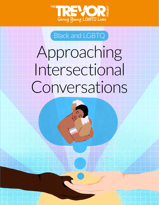

## Black and LGBTQ

Approaching Intersectional Conversations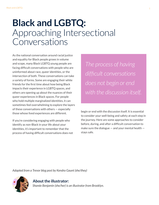# **Black and LGBTQ:**  Approaching Intersectional Conversations

As the national conversation around racial justice and equality for Black people grows in volume and scope, many Black LGBTQ young people are facing difficult conversations with people who are uninformed about race, queer identities, or the intersection of both. These conversations can take a variety of forms. Some are engaging their white friends for the first time about how being Black impacts their experience in LGBTQ spaces, and others are opening up about the nuances of their queer experiences in Black spaces. For people who hold multiple marginalized identities, it can sometimes feel overwhelming to explore the layers of these conversations with others — especially those whose lived experiences are different.

If you're considering engaging with people who identify as non-Black in your life about your identities, it's important to remember that the process of having difficult conversations does not

*The process of having difficult conversations does not begin or end with the discussion itself.*

begin or end with the discussion itself. It is essential to consider your well-being and safety at each step in the journey. Here are some approaches to consider before, during, and after a difficult conversation to make sure the dialogue  $-$  and your mental health  $$ stays safe.

*Adapted from a Trevor blog post by Kendra Gaunt (she/they)*



#### **About the illustrator:**

*Shanée Benjamin (she/her) is an illustrator from Brooklyn.*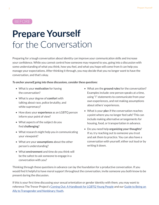#### BEFORE

# **Prepare Yourself** for the Conversation

Preparing for a tough conversation about identity can improve your communication skills and increase your confidence. While you cannot control how someone may respond to you, going into a discussion with some understanding of what you think, how you feel, and what you hope will come from it can help you manage your expectations. After thinking it through, you may decide that you no longer want to have the conversation, and that's okay.

#### *To anchor yourself going into these discussions, consider these questions:*

- What is your **motivation** for having the conversation?
- What is your degree of **comfort** with talking about race, police brutality, and white supremacy?
- How does your **experience** as an LGBTQ person inform your point of view?
- What aspects of the subject do you find **challenging**?
- What research might help you in communicating your viewpoint?
- What are your **assumptions** about the other person's understanding?
- What **environment** and time do you think will be the safest to ask someone to engage in a conversation with you?
- What are the **ground rules** for the conversation? Examples include: one person speaks at a time, using "I" statements to communicate from your own experiences, and not making assumptions about others' experiences.
- What is your **pla**n if the conversation reaches a point where you no longer feel safe? This can include making alternative arrangements for housing, food, or transportation in advance.
- Do you need help **organizing your thoughts**? If so, try reaching out to someone you trust and ask them to practice. You can also have a conversation with yourself, either out loud or by writing it down.

Thinking through these questions in advance can lay the foundation for a productive conversation. If you would find it helpful to have moral support throughout the conversation, invite someone you both know to be present during the discussion.

If this is your first time discussing your sexual orientation or gender identity with them, you may want to reference The Trevor Project's [Coming Out: A Handbook for LGBTQ Young People](https://www.thetrevorproject.org/wp-content/uploads/2019/10/Coming-Out-Handbook.pdf) and our [Guide to Being an](https://www.thetrevorproject.org/resources/trevor-support-center/a-guide-to-being-an-ally-to-transgender-and-nonbinary-youth/)  **[Ally to Transgender and Nonbinary Youth](https://www.thetrevorproject.org/resources/trevor-support-center/a-guide-to-being-an-ally-to-transgender-and-nonbinary-youth/).**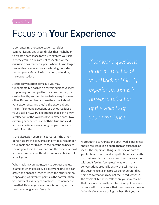### DURING

## Focus on **Your Experience**

Upon entering the conversation, consider communicating any ground rules that might help to create a safe space for you to express yourself. If these ground rules are not respected, or the discussion has reached a point where it is no longer productive or safe for your well-being, consider putting your safety plan into action and ending the conversation.

As the conversation plays out, you may fundamentally disagree on certain subjective ideas. Depending on your goal for the conversation, that can be healthy and conducive to learning from each other. But remember: you are the expert about your experience, and they're the expert about theirs. If someone questions or denies realities of your Black or LGBTQ experience, that is in no way a reflection of the validity of your experience. Two differing experiences can both be true and valid at the same time, even among people who share similar identities.

If the discussion veers off course, or if the other person steers the conversation off-topic, remember your goals and try to return their attention back to the original topic. Or, you can end the conversation if you wish. Remember, this discussion is a choice, not an obligation.

When making your points, try to be clear and use examples when possible. It's always helpful to be an active and engaged listener when the other person is speaking. At different points in the conversation, you may feel a variety of emotions — remember to breathe! This range of emotions is normal, and it's healthy as long as you feel safe.

*If someone questions or denies realities of your Black or LGBTQ experience, that is in no way a reflection of the validity of your experience.*

A productive conversation about lived experiences should feel less like a debate than an exchange of ideas. The important thing is that one or both of you feels more informed, empathetic, or seen as the discussion ends. It's okay to end the conversation without it feeling "complete"— as with many conversations around identity, this will just be the beginning of a long process of understanding. Some conversations may not feel "productive" in the moment, but after reflection, you may realize that they were actually helpful. Don't put pressure on yourself to make sure that the conversation was "effective"— you are doing the best that you can!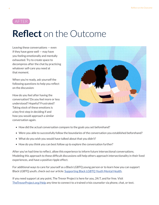

# **Reflect** on the Outcome

Leaving these conversations — even if they have gone well — may have you feeling emotionally and mentally exhausted. Try to create space to decompress after the chat by practicing whatever self-care you need at that moment.

When you're ready, ask yourself the following questions to help you reflect on the discussion:

How do you feel after having the conversation? Do you feel more or less understood? Hopeful? Frustrated? Taking stock of these emotions is a key first step in deciding if and how you would approach a similar conversation again.



- How did the actual conversation compare to the goals you set beforehand?
- Were you able to successfully follow the boundaries of the conversation you established beforehand?
- What do you wish you would have talked about that you didn't?
- How do you think you can best follow up to explore the conversation further?

After you've had time to reflect, allow this experience to inform future intersectional conversations. Modeling this approach to these difficult discussions will help others approach intersectionality in their lived experiences, and have a positive ripple effect.

For additional ways to care for yourself as a Black LGBTQ young person or to learn how you can support Black LGBTQ youth, check out our article: [Supporting Black LGBTQ Youth Mental Health.](https://www.thetrevorproject.org/2020/06/01/supporting-black-lgbtq-youth-mental-health/)

If you need support at any point, The Trevor Project is here for you, 24/7, and for free. Visit [TheTrevorProject.org/Help](http://TheTrevorProject.org/Help) any time to connect to a trained crisis counselor via phone, chat, or text.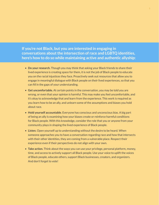**If you're not Black, but you are interested in engaging in conversations about the intersection of race and LGBTQ identities, here's how to do so while maintaining active and authentic allyship:**

- **Do your research.** Though you may think that asking your Black friends to share their lived experience is creating space for them, it is not the job of Black people to educate you on the racial injustices they face. Proactively seek out resources that allow you to engage in meaningful dialogue with Black people on their lived experiences, so that you can fill in the gaps of your understanding.
- **Get uncomfortable.** At certain points in the conversation, you may be told you are wrong, or even that your opinion is harmful. This may make you feel uncomfortable, and it's okay to acknowledge that and learn from the experience. This work is required as you learn how to be an ally, and unlearn some of the assumptions and biases you hold about race.
- **Hold yourself accountable**. Everyone has conscious and unconscious bias. A big part of being an ally is examining how your biases create or reinforce harmful conditions for Black people. With this knowledge, consider the role that you or anyone from your community plays in shaping the lived experience of Black people.
- **Listen.** Open yourself up to understanding without the desire to be heard. When someone approaches you to have a conversation regarding race and how that intersects with their other identities, they are coming from a vulnerable place. Respect their experience even if their perspectives do not align with your own.
- **Take action.** Think about the ways you can use your privilege, personal platform, money, time, and access to actively support all Black people. Use your voice to uplift the voices of Black people, educate others, support Black businesses, creators, and organizers. And don't forget to vote!